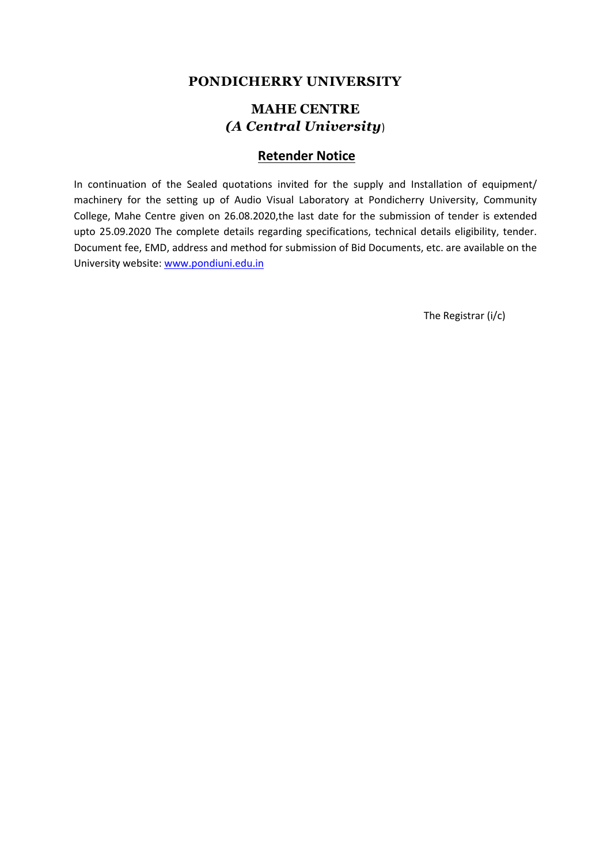## **PONDICHERRY UNIVERSITY**

# **MAHE CENTRE** *(A Central University*)

## **Retender Notice**

In continuation of the Sealed quotations invited for the supply and Installation of equipment/ machinery for the setting up of Audio Visual Laboratory at Pondicherry University, Community College, Mahe Centre given on 26.08.2020,the last date for the submission of tender is extended upto 25.09.2020 The complete details regarding specifications, technical details eligibility, tender. Document fee, EMD, address and method for submission of Bid Documents, etc. are available on the University website: [www.pondiuni.edu.in](http://www.pondiuni.edu.in/)

The Registrar (i/c)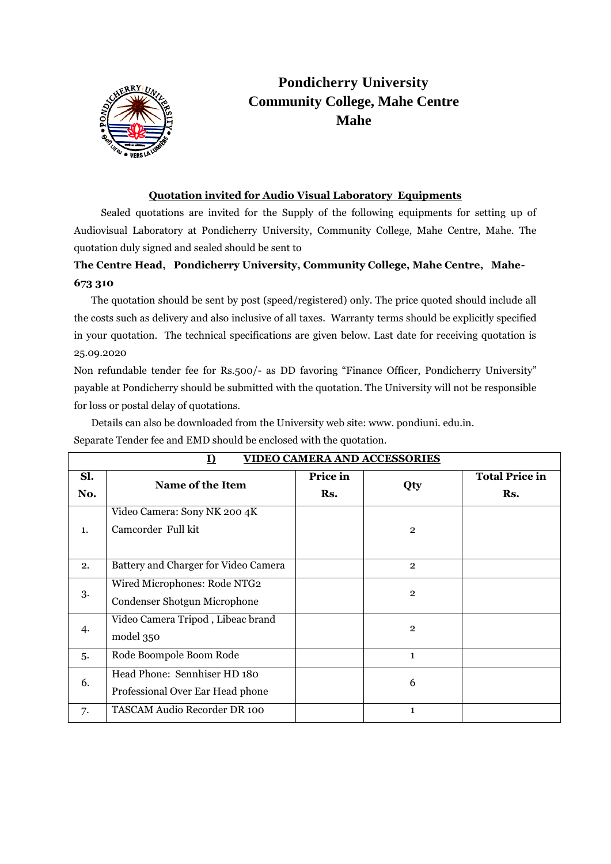

# **Pondicherry University Community College, Mahe Centre Mahe**

### **Quotation invited for Audio Visual Laboratory Equipments**

 Sealed quotations are invited for the Supply of the following equipments for setting up of Audiovisual Laboratory at Pondicherry University, Community College, Mahe Centre, Mahe. The quotation duly signed and sealed should be sent to

# **The Centre Head, Pondicherry University, Community College, Mahe Centre, Mahe-673 310**

 The quotation should be sent by post (speed/registered) only. The price quoted should include all the costs such as delivery and also inclusive of all taxes. Warranty terms should be explicitly specified in your quotation. The technical specifications are given below. Last date for receiving quotation is 25.09.2020

Non refundable tender fee for Rs.500/- as DD favoring "Finance Officer, Pondicherry University" payable at Pondicherry should be submitted with the quotation. The University will not be responsible for loss or postal delay of quotations.

 Details can also be downloaded from the University web site: www. pondiuni. edu.in. Separate Tender fee and EMD should be enclosed with the quotation.

| <u>VIDEO CAMERA AND ACCESSORIES</u><br>I) |                                                                  |                 |                |                              |  |  |
|-------------------------------------------|------------------------------------------------------------------|-----------------|----------------|------------------------------|--|--|
| Sl.<br>No.                                | Name of the Item                                                 | Price in<br>Rs. | Qty            | <b>Total Price in</b><br>Rs. |  |  |
| 1.                                        | Video Camera: Sony NK 200 4K<br>Camcorder Full kit               |                 | $\overline{2}$ |                              |  |  |
| 2.                                        | Battery and Charger for Video Camera                             |                 | $\overline{2}$ |                              |  |  |
| 3.                                        | Wired Microphones: Rode NTG2<br>Condenser Shotgun Microphone     |                 | $\overline{2}$ |                              |  |  |
| 4.                                        | Video Camera Tripod, Libeac brand<br>model 350                   |                 | $\mathbf{2}$   |                              |  |  |
| 5.                                        | Rode Boompole Boom Rode                                          |                 | $\mathbf{1}$   |                              |  |  |
| 6.                                        | Head Phone: Sennhiser HD 180<br>Professional Over Ear Head phone |                 | 6              |                              |  |  |
| 7.                                        | TASCAM Audio Recorder DR 100                                     |                 | $\mathbf{1}$   |                              |  |  |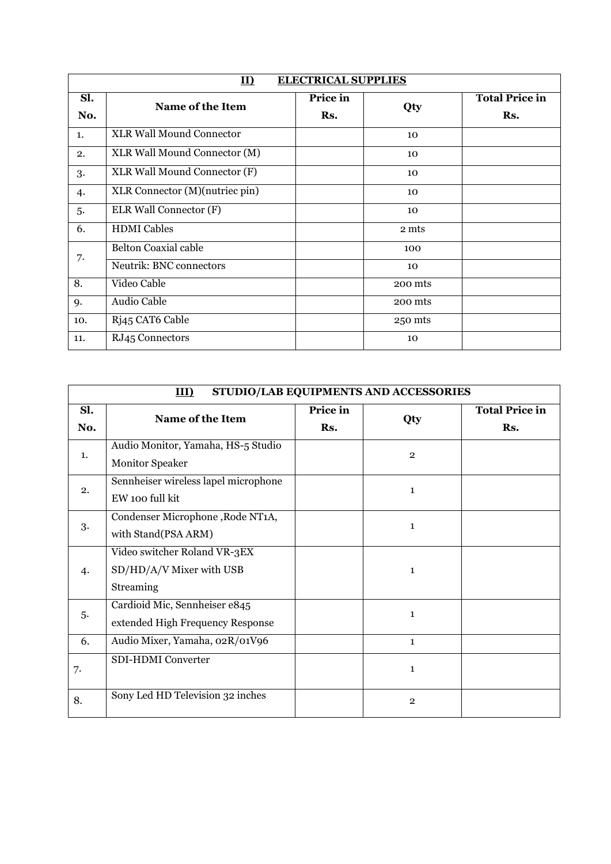| <b>ELECTRICAL SUPPLIES</b><br>II) |                                 |                 |         |                              |  |  |  |
|-----------------------------------|---------------------------------|-----------------|---------|------------------------------|--|--|--|
| Sl.<br>No.                        | Name of the Item                | Price in<br>Rs. | Qty     | <b>Total Price in</b><br>Rs. |  |  |  |
| 1.                                | <b>XLR Wall Mound Connector</b> |                 | 10      |                              |  |  |  |
| 2.                                | XLR Wall Mound Connector (M)    |                 | 10      |                              |  |  |  |
| 3.                                | XLR Wall Mound Connector (F)    |                 | 10      |                              |  |  |  |
| 4.                                | XLR Connector (M)(nutriec pin)  |                 | 10      |                              |  |  |  |
| 5.                                | ELR Wall Connector (F)          |                 | 10      |                              |  |  |  |
| 6.                                | <b>HDMI</b> Cables              |                 | 2 mts   |                              |  |  |  |
| 7.                                | <b>Belton Coaxial cable</b>     |                 | 100     |                              |  |  |  |
|                                   | Neutrik: BNC connectors         |                 | 10      |                              |  |  |  |
| 8.                                | Video Cable                     |                 | 200 mts |                              |  |  |  |
| 9.                                | Audio Cable                     |                 | 200 mts |                              |  |  |  |
| 10.                               | Rj45 CAT6 Cable                 |                 | 250 mts |                              |  |  |  |
| 11.                               | RJ45 Connectors                 |                 | 10      |                              |  |  |  |

| STUDIO/LAB EQUIPMENTS AND ACCESSORIES<br>III) |                                                                       |                 |              |                              |  |  |
|-----------------------------------------------|-----------------------------------------------------------------------|-----------------|--------------|------------------------------|--|--|
| Sl.<br>No.                                    | Name of the Item                                                      | Price in<br>Rs. | Qty          | <b>Total Price in</b><br>Rs. |  |  |
| 1.                                            | Audio Monitor, Yamaha, HS-5 Studio<br><b>Monitor Speaker</b>          |                 | $\mathbf{2}$ |                              |  |  |
| 2.                                            | Sennheiser wireless lapel microphone<br>EW 100 full kit               |                 | $\mathbf{1}$ |                              |  |  |
| 3.                                            | Condenser Microphone, Rode NT1A,<br>with Stand(PSA ARM)               |                 | $\mathbf{1}$ |                              |  |  |
| 4.                                            | Video switcher Roland VR-3EX<br>SD/HD/A/V Mixer with USB<br>Streaming |                 | $\mathbf{1}$ |                              |  |  |
| 5.                                            | Cardioid Mic, Sennheiser e845<br>extended High Frequency Response     |                 | $\mathbf{1}$ |                              |  |  |
| 6.                                            | Audio Mixer, Yamaha, 02R/01V96                                        |                 | $\mathbf{1}$ |                              |  |  |
| 7.                                            | SDI-HDMI Converter                                                    |                 | $\mathbf{1}$ |                              |  |  |
| 8.                                            | Sony Led HD Television 32 inches                                      |                 | $\mathbf{2}$ |                              |  |  |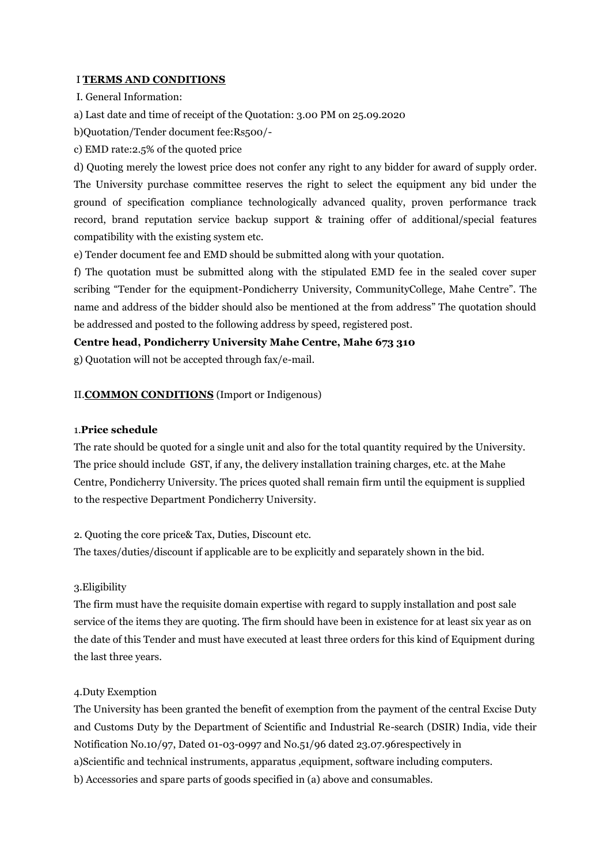#### I **TERMS AND CONDITIONS**

I. General Information:

a) Last date and time of receipt of the Quotation: 3.00 PM on 25.09.2020

b)Quotation/Tender document fee:Rs500/-

c) EMD rate:2.5% of the quoted price

d) Quoting merely the lowest price does not confer any right to any bidder for award of supply order. The University purchase committee reserves the right to select the equipment any bid under the ground of specification compliance technologically advanced quality, proven performance track record, brand reputation service backup support & training offer of additional/special features compatibility with the existing system etc.

e) Tender document fee and EMD should be submitted along with your quotation.

f) The quotation must be submitted along with the stipulated EMD fee in the sealed cover super scribing "Tender for the equipment-Pondicherry University, CommunityCollege, Mahe Centre". The name and address of the bidder should also be mentioned at the from address" The quotation should be addressed and posted to the following address by speed, registered post.

#### **Centre head, Pondicherry University Mahe Centre, Mahe 673 310**

g) Quotation will not be accepted through fax/e-mail.

#### II.**COMMON CONDITIONS** (Import or Indigenous)

#### 1.**Price schedule**

The rate should be quoted for a single unit and also for the total quantity required by the University. The price should include GST, if any, the delivery installation training charges, etc. at the Mahe Centre, Pondicherry University. The prices quoted shall remain firm until the equipment is supplied to the respective Department Pondicherry University.

#### 2. Quoting the core price& Tax, Duties, Discount etc.

The taxes/duties/discount if applicable are to be explicitly and separately shown in the bid.

#### 3.Eligibility

The firm must have the requisite domain expertise with regard to supply installation and post sale service of the items they are quoting. The firm should have been in existence for at least six year as on the date of this Tender and must have executed at least three orders for this kind of Equipment during the last three years.

#### 4.Duty Exemption

The University has been granted the benefit of exemption from the payment of the central Excise Duty and Customs Duty by the Department of Scientific and Industrial Re-search (DSIR) India, vide their Notification No.10/97, Dated 01-03-0997 and No.51/96 dated 23.07.96respectively in a)Scientific and technical instruments, apparatus ,equipment, software including computers. b) Accessories and spare parts of goods specified in (a) above and consumables.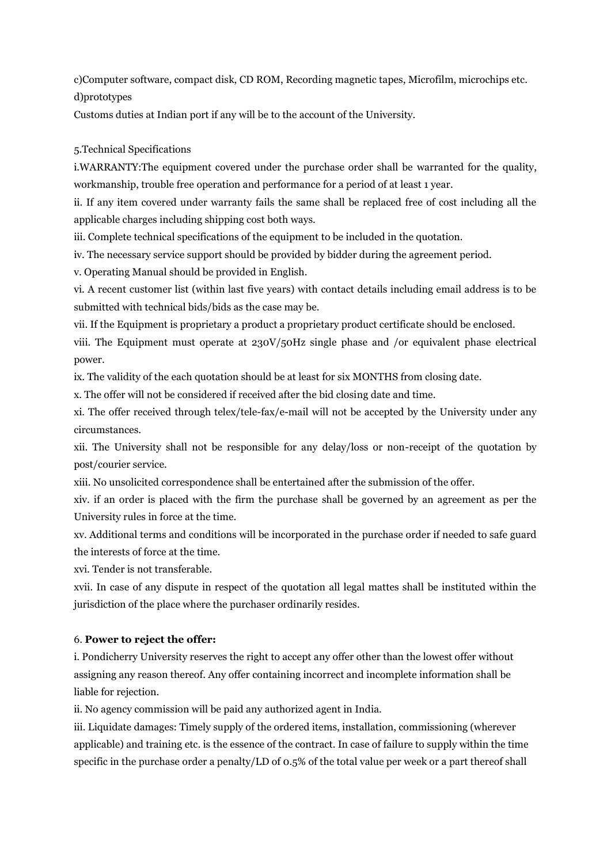c)Computer software, compact disk, CD ROM, Recording magnetic tapes, Microfilm, microchips etc. d)prototypes

Customs duties at Indian port if any will be to the account of the University.

#### 5.Technical Specifications

i.WARRANTY:The equipment covered under the purchase order shall be warranted for the quality, workmanship, trouble free operation and performance for a period of at least 1 year.

ii. If any item covered under warranty fails the same shall be replaced free of cost including all the applicable charges including shipping cost both ways.

iii. Complete technical specifications of the equipment to be included in the quotation.

iv. The necessary service support should be provided by bidder during the agreement period.

v. Operating Manual should be provided in English.

vi. A recent customer list (within last five years) with contact details including email address is to be submitted with technical bids/bids as the case may be.

vii. If the Equipment is proprietary a product a proprietary product certificate should be enclosed.

viii. The Equipment must operate at 230V/50Hz single phase and /or equivalent phase electrical power.

ix. The validity of the each quotation should be at least for six MONTHS from closing date.

x. The offer will not be considered if received after the bid closing date and time.

xi. The offer received through telex/tele-fax/e-mail will not be accepted by the University under any circumstances.

xii. The University shall not be responsible for any delay/loss or non-receipt of the quotation by post/courier service.

xiii. No unsolicited correspondence shall be entertained after the submission of the offer.

xiv. if an order is placed with the firm the purchase shall be governed by an agreement as per the University rules in force at the time.

xv. Additional terms and conditions will be incorporated in the purchase order if needed to safe guard the interests of force at the time.

xvi. Tender is not transferable.

xvii. In case of any dispute in respect of the quotation all legal mattes shall be instituted within the jurisdiction of the place where the purchaser ordinarily resides.

#### 6. **Power to reject the offer:**

i. Pondicherry University reserves the right to accept any offer other than the lowest offer without assigning any reason thereof. Any offer containing incorrect and incomplete information shall be liable for rejection.

ii. No agency commission will be paid any authorized agent in India.

iii. Liquidate damages: Timely supply of the ordered items, installation, commissioning (wherever applicable) and training etc. is the essence of the contract. In case of failure to supply within the time specific in the purchase order a penalty/LD of 0.5% of the total value per week or a part thereof shall